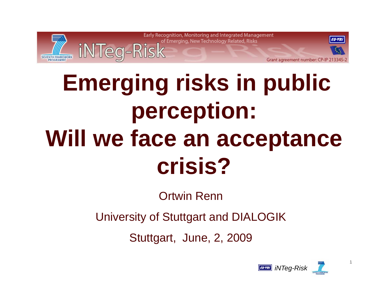

# **Emerging risks in public perception: Will we face an acceptance crisis?**

Ortwin Renn

University of Stuttgart and DIALOGIK

Stuttgart, June, 2, 2009



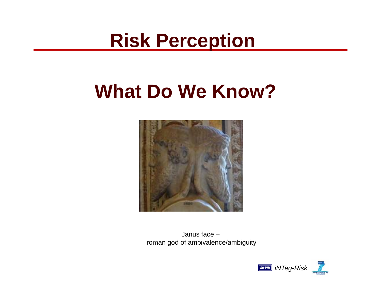## **Risk Perception**

## **What Do We Know?**



Janus face –roman god of ambivalence/ambiguity

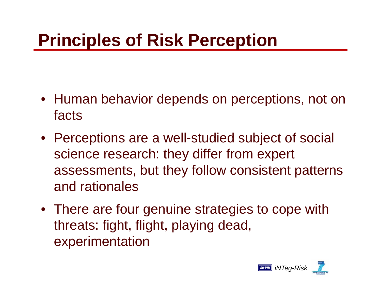## **Principles of Risk Perception**

- Human behavior depends on perceptions, not on facts
- Perceptions are a well-studied subject of social science research: they differ from expert assessments, but they follow consistent patterns and rationales
- There are four genuine strategies to cope with threats: fight, flight, playing dead, experimentation

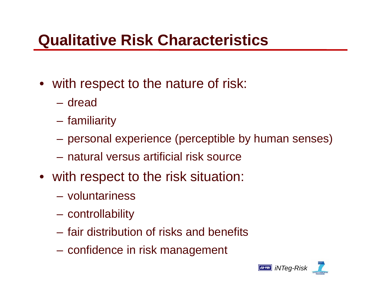## **Qualitative Risk Characteristics**

- with respect to the nature of risk:
	- dread
	- familiarity
	- personal experience (perceptible by human senses)
	- natural versus artificial risk source
- with respect to the risk situation:
	- voluntariness
	- controllability
	- fair distribution of risks and benefits
	- confidence in risk management

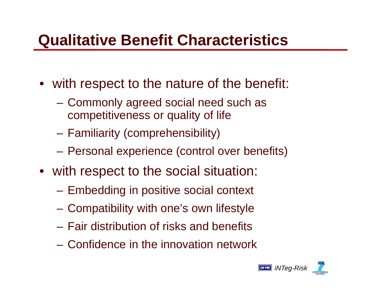### **Qualitative Benefit Characteristics**

- with respect to the nature of the benefit:
	- Commonly agreed social need such as competitiveness or quality of life
	- –- Familiarity (comprehensibility)
	- –Personal experience (control over benefits)
- with respect to the social situation:
	- Embedding in positive social context
	- –Compatibility with one's own lifestyle
	- Fair distribution of risks and benefits
	- Confidence in the innovation network

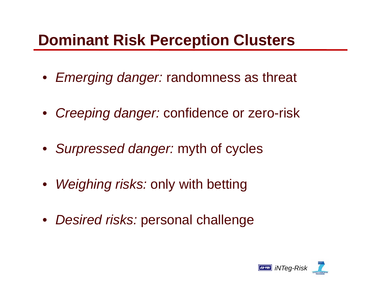### **Dominant Risk Perception Clusters**

- *Emerging danger:* randomness as threat
- *Creeping danger:* confidence or zero-risk
- *Surpressed danger:* myth of cycles
- $\bullet$ *Weighing risks:* only with betting
- $\bullet$ *Desired risks:* personal challenge

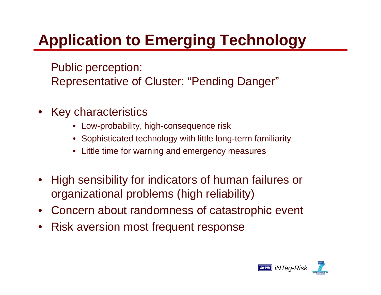## **Application to Emerging Technology**

Public perception: Representative of Cluster: "Pending Danger"

- • Key characteristics
	- $\bullet~$  Low-probability, high-consequence risk
	- Sophisticated technology with little long-term familiarity
	- Little time for warning and emergency measures
- $\bullet$  High sensibility for indicators of human failures or organizational problems (high reliability)
- •Concern about randomness of catastrophic event
- $\bullet$ Risk aversion most frequent response

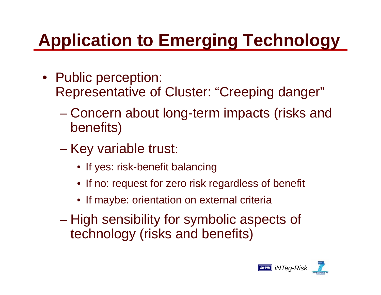## **Application to Emerging Technology**

- Public perception: Representative of Cluster: "Creeping danger"
	- – Concern about long-term impacts (risks and benefits)
	- Key variable trust:
		- $\bullet\,$  If yes: risk-benefit balancing
		- If no: request for zero risk regardless of benefit
		- If maybe: orientation on external criteria
	- $\mathcal{L}_{\mathcal{A}}$  , and the set of the set of the set of the set of the set of the set of the set of the set of the set of the set of the set of the set of the set of the set of the set of the set of the set of the set of th High sensibility for symbolic aspects of technology (risks and benefits)

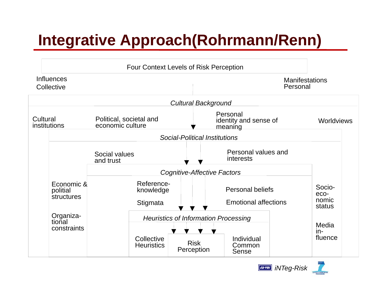## **Integrative Approach(Rohrmann/Renn)**



*iNTeg-Risk*

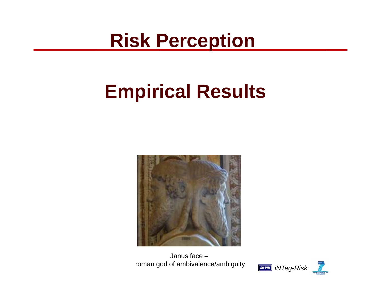## **Risk Perception**

## **Empirical Results**



Janus face –roman god of ambivalence/ambiguity

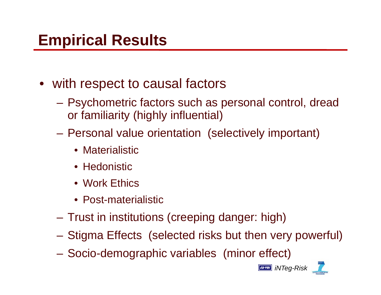### **Empirical Results**

- with respect to causal factors
	- Psychometric factors such as personal control, dread or familiarity (highly influential)
	- –- Personal value orientation (selectively important)
		- Materialistic
		- Hedonistic
		- Work Ethics
		- Post-materialistic
	- –Trust in institutions (creeping danger: high)
	- $\mathcal{L}_{\mathcal{A}}$ – Stigma Effects (selected risks but then very powerful)<br>– Socio-demographic variables *(*minor effect)
	- Socio-demographic variables (minor effect)

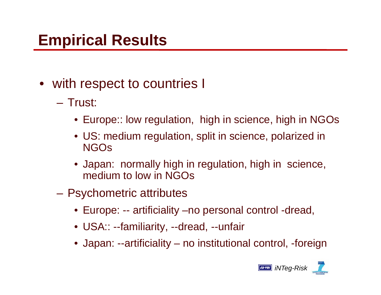## **Empirical Results**

- with respect to countries I
	- Trust:
		- Europe:: low regulation, high in science, high in NGOs
		- US: medium regulation, split in science, polarized in NGOs
		- Japan: normally high in regulation, high in science, medium to low in NGOs
	- Psychometric attributes
		- Europe: -- artificiality –no personal control -dread,
		- USA:: --familiarity, --dread, --unfair
		- $\bullet\,$  Japan: --artificiality no institutional control, -foreign

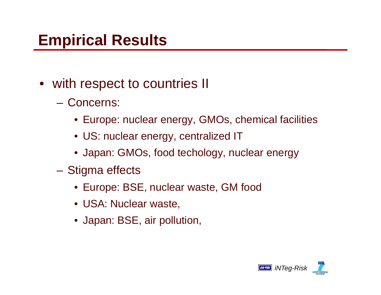#### **Empirical Results**

- with respect to countries II
	- Concerns:
		- Europe: nuclear energy, GMOs, chemical facilities
		- US: nuclear energy, centralized IT
		- Japan: GMOs, food techology, nuclear energy
	- Stigma effects
		- Europe: BSE, nuclear waste, GM food
		- USA: Nuclear waste,
		- Japan: BSE, air pollution,

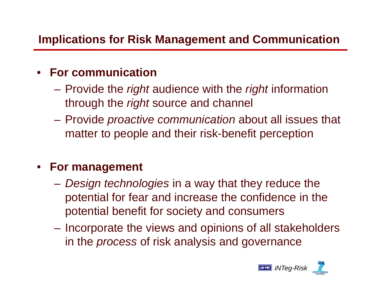#### **Implications for Risk Management and Communication**

#### $\bullet$ **For communication**

- Provide the *right* audience with the *right* information through the *right* source and channel
- Provide *proactive communication* about all issues that matter to people and their risk-benefit perception

#### • **For management**

- *Design technologies* in a way that they reduce the potential for fear and increase the confidence in the potential benefit for society and consumers
- Incorporate the views and opinions of all stakeholders in the *process* of risk analysis and governance

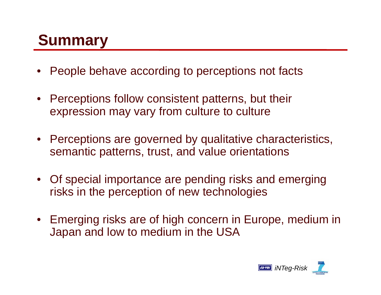## **Summary**

- •People behave according to perceptions not facts
- Perceptions follow consistent patterns, but their expression may vary from culture to culture
- Perceptions are governed by qualitative characteristics, semantic patterns, trust, and value orientations
- Of special importance are pending risks and emerging risks in the perception of new technologies
- Emerging risks are of high concern in Europe, medium in Japan and low to medium in the USA